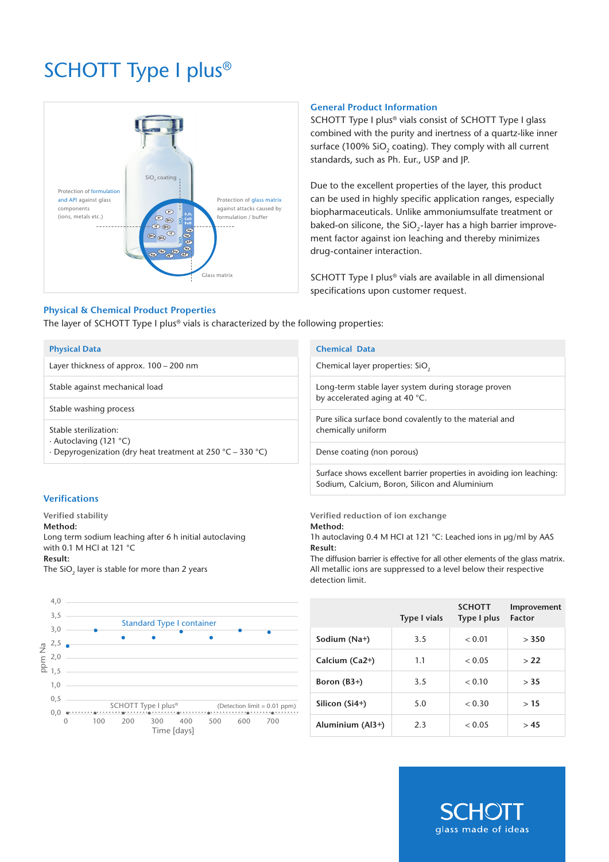# SCHOTT Type I plus®



# **Physical & Chemical Product Properties**

The layer of SCHOTT Type I plus<sup>®</sup> vials is characterized by the following properties:

#### **Physical Data**

Layer thickness of approx. 100 – 200 nm

Stable against mechanical load

Stable washing process

Stable sterilization:

∙ Autoclaving (121 °C)

∙ Depyrogenization (dry heat treatment at 250 °C – 330 °C)

#### **Verifications**

**Verified stability**

**Method:**

Long term sodium leaching after 6 h initial autoclaving with 0.1 M HCl at 121 °C **Result:** The  $SiO<sub>2</sub>$  layer is stable for more than 2 years



## **General Product Information**

SCHOTT Type I plus® vials consist of SCHOTT Type I glass combined with the purity and inertness of a quartz-like inner surface (100% SiO<sub>2</sub> coating). They comply with all current standards, such as Ph. Eur., USP and JP.

Due to the excellent properties of the layer, this product can be used in highly specific application ranges, especially biopharmaceuticals. Unlike ammoniumsulfate treatment or baked-on silicone, the  $SiO<sub>2</sub>$ -layer has a high barrier improvement factor against ion leaching and thereby minimizes drug-container interaction.

SCHOTT Type I plus® vials are available in all dimensional specifications upon customer request.

| <b>Chemical Data</b>                                                                  |                                                                      |
|---------------------------------------------------------------------------------------|----------------------------------------------------------------------|
| Chemical layer properties: SiO <sub>2</sub>                                           |                                                                      |
| Long-term stable layer system during storage proven<br>by accelerated aging at 40 °C. |                                                                      |
| Pure silica surface bond covalently to the material and<br>chemically uniform         |                                                                      |
| Dense coating (non porous)                                                            |                                                                      |
| Sodium, Calcium, Boron, Silicon and Aluminium                                         | Surface shows excellent barrier properties in avoiding ion leaching: |
| Verified reduction of ion exchange<br>Method:                                         |                                                                      |

1h autoclaving 0.4 M HCI at 121 °C: Leached ions in µg/ml by AAS **Result:**

The diffusion barrier is effective for all other elements of the glass matrix. All metallic ions are suppressed to a level below their respective detection limit.

|                  | <b>Type I vials</b> | <b>SCHOTT</b><br>Type I plus | Improvement<br><b>Factor</b> |  |
|------------------|---------------------|------------------------------|------------------------------|--|
| Sodium (Na+)     | 3.5                 | < 0.01                       | > 350                        |  |
| Calcium (Ca2+)   | 1.1                 | < 0.05                       | > 22                         |  |
| Boron $(B3+)$    | 3.5                 | < 0.10                       | > 35                         |  |
| Silicon $(Si4+)$ | 5.0                 | < 0.30                       | >15                          |  |
| Aluminium (Al3+) | 2.3                 | < 0.05                       | >45                          |  |

HO. glass made of ideas